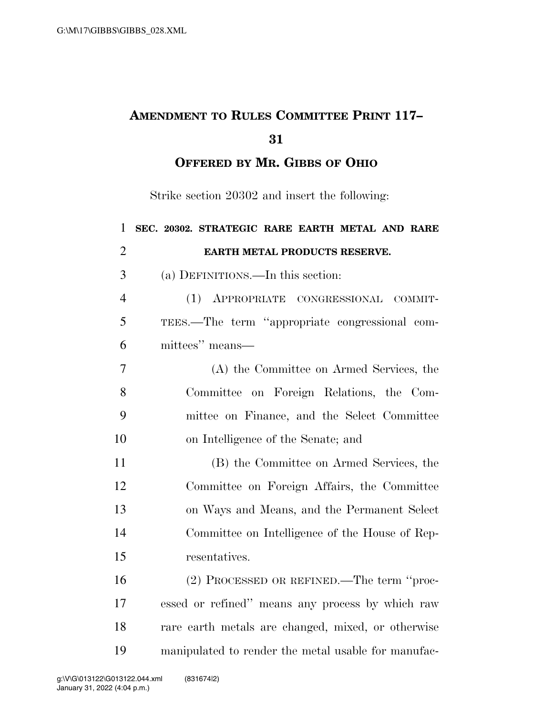## **AMENDMENT TO RULES COMMITTEE PRINT 117–**

**OFFERED BY MR. GIBBS OF OHIO**

Strike section 20302 and insert the following:

| SEC. 20302. STRATEGIC RARE EARTH METAL AND RARE     |
|-----------------------------------------------------|
| EARTH METAL PRODUCTS RESERVE.                       |
| (a) DEFINITIONS.—In this section:                   |
| (1)<br>APPROPRIATE CONGRESSIONAL COMMIT-            |
| TEES.—The term "appropriate congressional com-      |
| mittees" means-                                     |
| (A) the Committee on Armed Services, the            |
| Committee on Foreign Relations, the Com-            |
| mittee on Finance, and the Select Committee         |
| on Intelligence of the Senate; and                  |
| (B) the Committee on Armed Services, the            |
| Committee on Foreign Affairs, the Committee         |
| on Ways and Means, and the Permanent Select         |
| Committee on Intelligence of the House of Rep-      |
| resentatives.                                       |
| (2) PROCESSED OR REFINED.—The term "proc-           |
| essed or refined" means any process by which raw    |
| rare earth metals are changed, mixed, or otherwise  |
| manipulated to render the metal usable for manufac- |
|                                                     |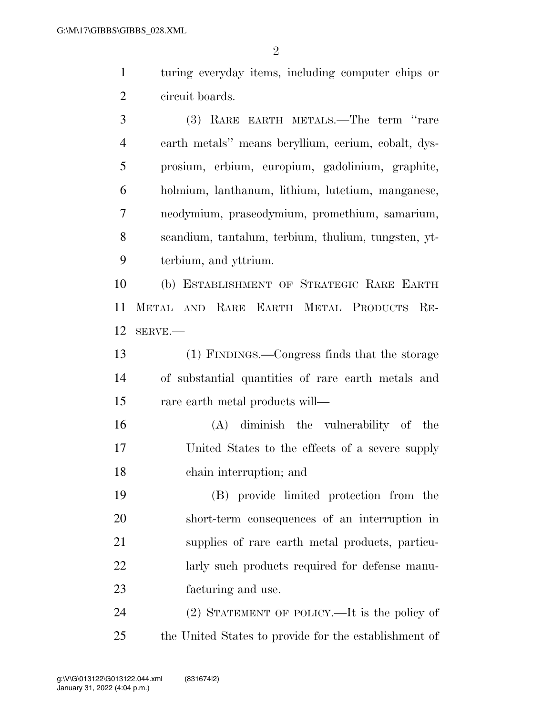$\mathfrak{D}$ 

 turing everyday items, including computer chips or circuit boards.

 (3) RARE EARTH METALS.—The term ''rare earth metals'' means beryllium, cerium, cobalt, dys- prosium, erbium, europium, gadolinium, graphite, holmium, lanthanum, lithium, lutetium, manganese, neodymium, praseodymium, promethium, samarium, scandium, tantalum, terbium, thulium, tungsten, yt-terbium, and yttrium.

 (b) ESTABLISHMENT OF STRATEGIC RARE EARTH METAL AND RARE EARTH METAL PRODUCTS RE-SERVE.—

 (1) FINDINGS.—Congress finds that the storage of substantial quantities of rare earth metals and rare earth metal products will—

 (A) diminish the vulnerability of the United States to the effects of a severe supply chain interruption; and

 (B) provide limited protection from the short-term consequences of an interruption in supplies of rare earth metal products, particu-22 larly such products required for defense manu-facturing and use.

 (2) STATEMENT OF POLICY.—It is the policy of the United States to provide for the establishment of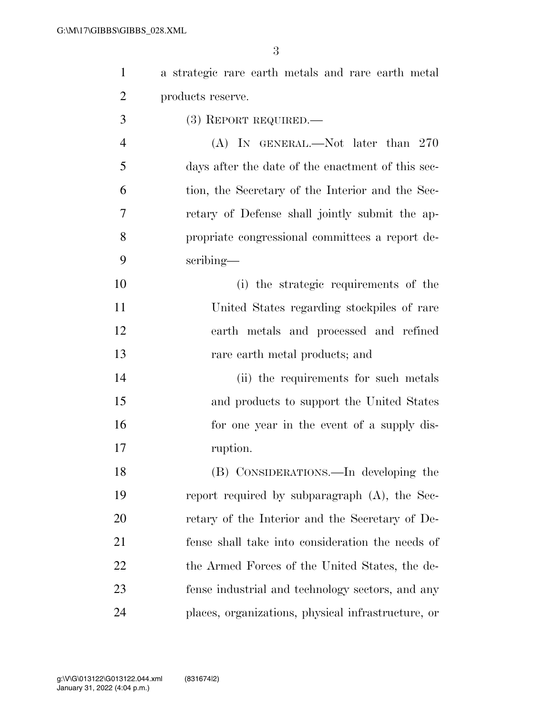| $\mathbf{1}$   | a strategic rare earth metals and rare earth metal |
|----------------|----------------------------------------------------|
| $\overline{2}$ | products reserve.                                  |
| 3              | $(3)$ REPORT REQUIRED.—                            |
| $\overline{4}$ | (A) IN GENERAL.—Not later than 270                 |
| 5              | days after the date of the enactment of this sec-  |
| 6              | tion, the Secretary of the Interior and the Sec-   |
| 7              | retary of Defense shall jointly submit the ap-     |
| 8              | propriate congressional committees a report de-    |
| 9              | scribing—                                          |
| 10             | (i) the strategic requirements of the              |
| 11             | United States regarding stockpiles of rare         |
| 12             | earth metals and processed and refined             |
| 13             | rare earth metal products; and                     |
| 14             | (ii) the requirements for such metals              |
| 15             | and products to support the United States          |
| 16             | for one year in the event of a supply dis-         |
| 17             | ruption.                                           |
| 18             | (B) CONSIDERATIONS.—In developing the              |
| 19             | report required by subparagraph (A), the Sec-      |
| 20             | retary of the Interior and the Secretary of De-    |
| 21             | fense shall take into consideration the needs of   |
| 22             | the Armed Forces of the United States, the de-     |
| 23             | fense industrial and technology sectors, and any   |
| 24             | places, organizations, physical infrastructure, or |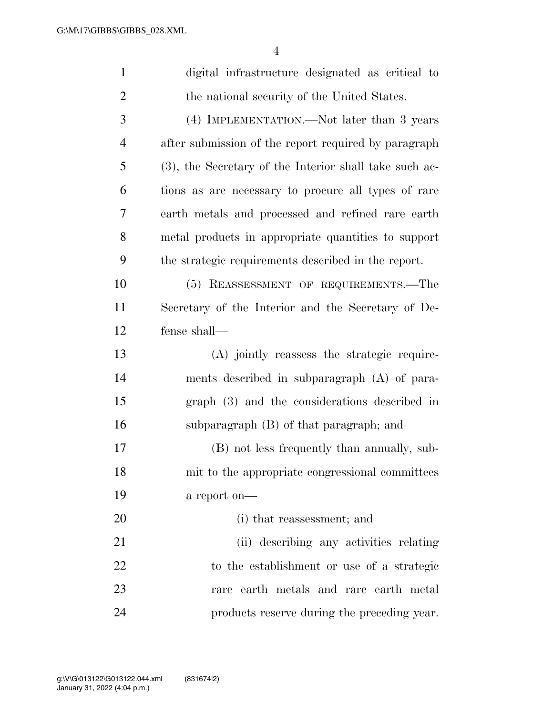| $\mathbf{1}$   | digital infrastructure designated as critical to       |
|----------------|--------------------------------------------------------|
| $\overline{2}$ | the national security of the United States.            |
| 3              | (4) IMPLEMENTATION.—Not later than 3 years             |
| $\overline{4}$ | after submission of the report required by paragraph   |
| 5              | (3), the Secretary of the Interior shall take such ac- |
| 6              | tions as are necessary to procure all types of rare    |
| $\tau$         | earth metals and processed and refined rare earth      |
| 8              | metal products in appropriate quantities to support    |
| 9              | the strategic requirements described in the report.    |
| 10             | (5) REASSESSMENT OF REQUIREMENTS.—The                  |
| 11             | Secretary of the Interior and the Secretary of De-     |
| 12             | fense shall-                                           |
| 13             | (A) jointly reassess the strategic require-            |
| 14             | ments described in subparagraph (A) of para-           |
| 15             | graph (3) and the considerations described in          |
| 16             | subparagraph (B) of that paragraph; and                |
| 17             | (B) not less frequently than annually, sub-            |
| 18             | mit to the appropriate congressional committees        |
| 19             | a report on-                                           |
| 20             | (i) that reassessment; and                             |
| 21             | (ii) describing any activities relating                |
| 22             | to the establishment or use of a strategic             |
| 23             | rare earth metals and rare earth metal                 |
| 24             | products reserve during the preceding year.            |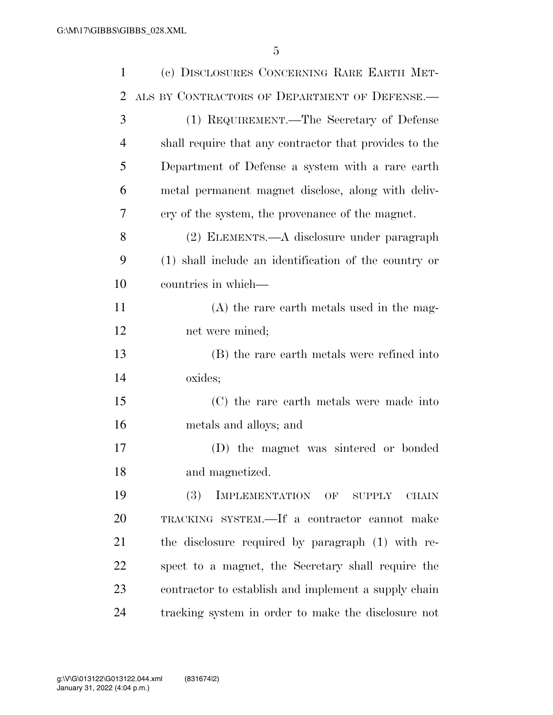| $\mathbf{1}$ | (c) DISCLOSURES CONCERNING RARE EARTH MET-             |
|--------------|--------------------------------------------------------|
| 2            | ALS BY CONTRACTORS OF DEPARTMENT OF DEFENSE.           |
| 3            | (1) REQUIREMENT.—The Secretary of Defense              |
| 4            | shall require that any contractor that provides to the |
| 5            | Department of Defense a system with a rare earth       |
| 6            | metal permanent magnet disclose, along with deliv-     |
| 7            | ery of the system, the provenance of the magnet.       |
| 8            | (2) ELEMENTS.—A disclosure under paragraph             |
| 9            | (1) shall include an identification of the country or  |
| 10           | countries in which—                                    |
| 11           | $(A)$ the rare earth metals used in the mag-           |
| 12           | net were mined;                                        |
| 13           | (B) the rare earth metals were refined into            |
| 14           | oxides;                                                |
| 15           | (C) the rare earth metals were made into               |
| 16           | metals and alloys; and                                 |
| 17           | (D) the magnet was sintered or bonded                  |
| 18           | and magnetized.                                        |
| 19           | IMPLEMENTATION OF SUPPLY<br><b>(3)</b><br><b>CHAIN</b> |
| 20           | TRACKING SYSTEM.—If a contractor cannot make           |
| 21           | the disclosure required by paragraph (1) with re-      |
| 22           | spect to a magnet, the Secretary shall require the     |
| 23           | contractor to establish and implement a supply chain   |
| 24           | tracking system in order to make the disclosure not    |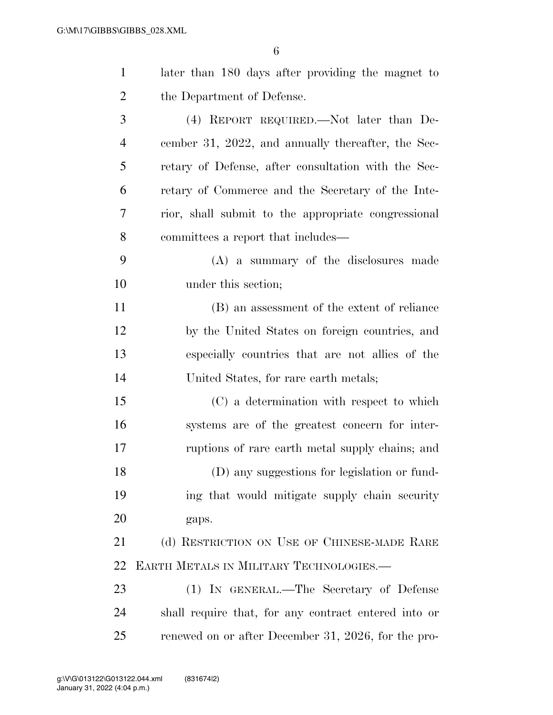| $\mathbf{1}$   | later than 180 days after providing the magnet to    |
|----------------|------------------------------------------------------|
| $\overline{2}$ | the Department of Defense.                           |
| 3              | (4) REPORT REQUIRED.—Not later than De-              |
| $\overline{4}$ | cember 31, 2022, and annually thereafter, the Sec-   |
| 5              | retary of Defense, after consultation with the Sec-  |
| 6              | retary of Commerce and the Secretary of the Inte-    |
| 7              | rior, shall submit to the appropriate congressional  |
| 8              | committees a report that includes—                   |
| 9              | (A) a summary of the disclosures made                |
| 10             | under this section;                                  |
| 11             | (B) an assessment of the extent of reliance          |
| 12             | by the United States on foreign countries, and       |
| 13             | especially countries that are not allies of the      |
| 14             | United States, for rare earth metals;                |
| 15             | (C) a determination with respect to which            |
| 16             | systems are of the greatest concern for inter-       |
| 17             | ruptions of rare earth metal supply chains; and      |
| 18             | (D) any suggestions for legislation or fund-         |
| 19             | ing that would mitigate supply chain security        |
| 20             | gaps.                                                |
| 21             | (d) RESTRICTION ON USE OF CHINESE-MADE RARE          |
| 22             | EARTH METALS IN MILITARY TECHNOLOGIES.               |
| 23             | (1) IN GENERAL.—The Secretary of Defense             |
| 24             | shall require that, for any contract entered into or |
| 25             | renewed on or after December 31, 2026, for the pro-  |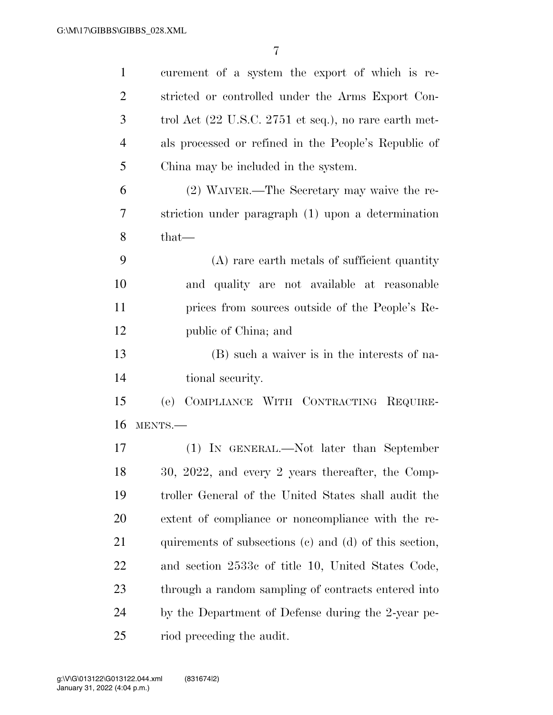| $\mathbf{1}$   | curement of a system the export of which is re-                           |
|----------------|---------------------------------------------------------------------------|
| $\overline{2}$ | stricted or controlled under the Arms Export Con-                         |
| 3              | trol Act $(22 \text{ U.S.C. } 2751 \text{ et seq.})$ , no rare earth met- |
| 4              | als processed or refined in the People's Republic of                      |
| 5              | China may be included in the system.                                      |
| 6              | (2) WAIVER.—The Secretary may waive the re-                               |
| 7              | striction under paragraph (1) upon a determination                        |
| 8              | that-                                                                     |
| 9              | (A) rare earth metals of sufficient quantity                              |
| 10             | and quality are not available at reasonable                               |
| 11             | prices from sources outside of the People's Re-                           |
| 12             | public of China; and                                                      |
| 13             | (B) such a waiver is in the interests of na-                              |
| 14             | tional security.                                                          |
| 15             | COMPLIANCE WITH CONTRACTING REQUIRE-<br>(e)                               |
| 16             | MENTS.-                                                                   |
| 17             | (1) IN GENERAL.—Not later than September                                  |
| 18             | 30, 2022, and every 2 years thereafter, the Comp-                         |
| 19             | troller General of the United States shall audit the                      |
| 20             | extent of compliance or noncompliance with the re-                        |
| 21             | quirements of subsections (c) and (d) of this section,                    |
| 22             | and section 2533c of title 10, United States Code,                        |
| 23             | through a random sampling of contracts entered into                       |
| 24             | by the Department of Defense during the 2-year pe-                        |
| 25             | riod preceding the audit.                                                 |
|                |                                                                           |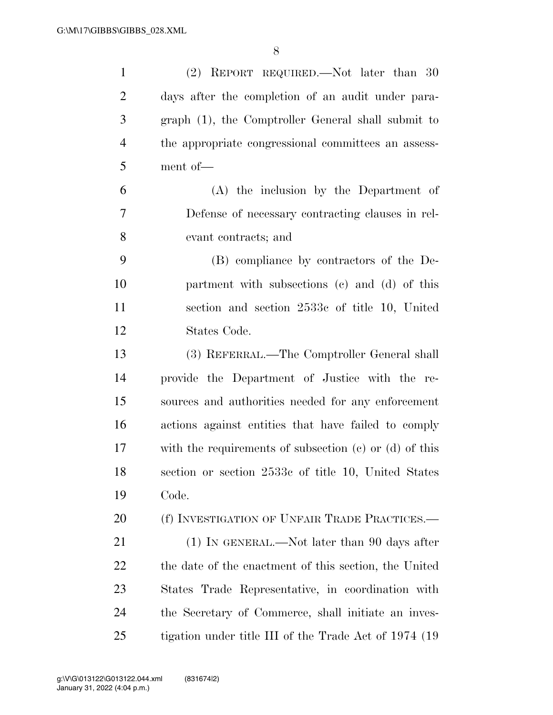| $\mathbf{1}$   | (2) REPORT REQUIRED.—Not later than 30                     |
|----------------|------------------------------------------------------------|
| $\overline{2}$ | days after the completion of an audit under para-          |
| 3              | graph (1), the Comptroller General shall submit to         |
| $\overline{4}$ | the appropriate congressional committees an assess-        |
| 5              | ment of-                                                   |
| 6              | (A) the inclusion by the Department of                     |
| 7              | Defense of necessary contracting clauses in rel-           |
| 8              | evant contracts; and                                       |
| 9              | (B) compliance by contractors of the De-                   |
| 10             | partment with subsections (c) and (d) of this              |
| 11             | section and section 2533c of title 10, United              |
| 12             | States Code.                                               |
| 13             | (3) REFERRAL.—The Comptroller General shall                |
| 14             | provide the Department of Justice with the re-             |
| 15             | sources and authorities needed for any enforcement         |
| 16             | actions against entities that have failed to comply        |
| 17             | with the requirements of subsection $(e)$ or $(d)$ of this |
| 18             | section or section 2533c of title 10, United States        |
| 19             | Code.                                                      |
| 20             | (f) INVESTIGATION OF UNFAIR TRADE PRACTICES.—              |
| 21             | $(1)$ IN GENERAL.—Not later than 90 days after             |
| 22             | the date of the enactment of this section, the United      |
| 23             | States Trade Representative, in coordination with          |
| 24             | the Secretary of Commerce, shall initiate an inves-        |
| 25             | tigation under title III of the Trade Act of 1974 (19      |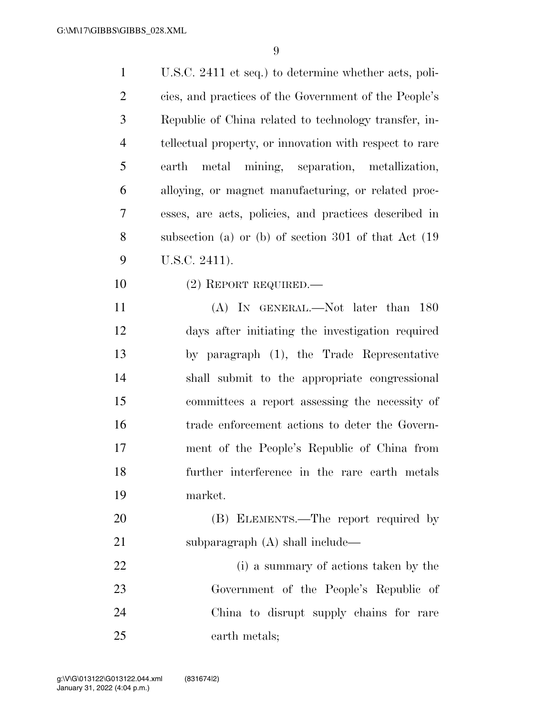| $\mathbf{1}$   | U.S.C. 2411 et seq.) to determine whether acts, poli-   |
|----------------|---------------------------------------------------------|
| $\overline{2}$ | cies, and practices of the Government of the People's   |
| $\mathfrak{Z}$ | Republic of China related to technology transfer, in-   |
| $\overline{4}$ | tellectual property, or innovation with respect to rare |
| 5              | metal mining, separation, metallization,<br>earth       |
| 6              | alloying, or magnet manufacturing, or related proc-     |
| $\tau$         | esses, are acts, policies, and practices described in   |
| 8              | subsection (a) or (b) of section 301 of that $Act$ (19) |
| 9              | U.S.C. 2411).                                           |
| 10             | $(2)$ REPORT REQUIRED.—                                 |
| 11             | (A) IN GENERAL.—Not later than 180                      |
| 12             | days after initiating the investigation required        |
| 13             | by paragraph (1), the Trade Representative              |
| 14             | shall submit to the appropriate congressional           |
| 15             | committees a report assessing the necessity of          |
| 16             | trade enforcement actions to deter the Govern-          |
| 17             | ment of the People's Republic of China from             |
| 18             | further interference in the rare earth metals           |
| 19             | market.                                                 |
| 20             | (B) ELEMENTS.—The report required by                    |
| 21             | subparagraph $(A)$ shall include—                       |
| 22             | (i) a summary of actions taken by the                   |
| 23             | Government of the People's Republic of                  |
| 24             | China to disrupt supply chains for rare                 |
| 25             | earth metals;                                           |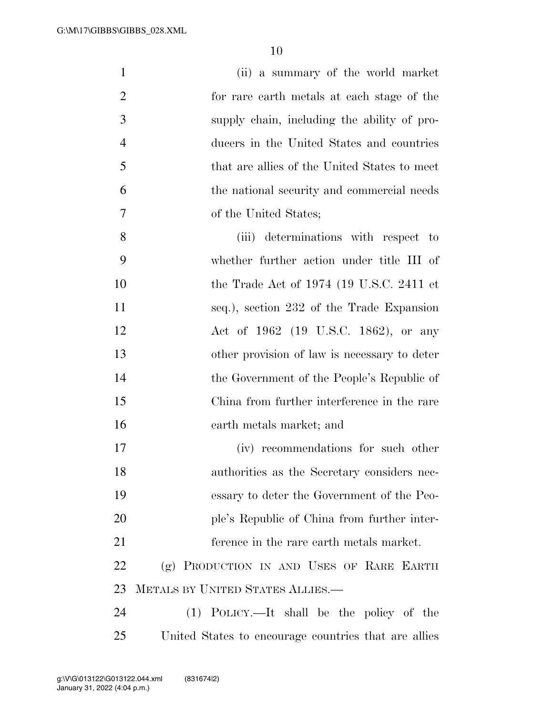| $\mathbf{1}$   | (ii) a summary of the world market                   |
|----------------|------------------------------------------------------|
| $\overline{2}$ | for rare earth metals at each stage of the           |
| 3              | supply chain, including the ability of pro-          |
| $\overline{4}$ | ducers in the United States and countries            |
| 5              | that are allies of the United States to meet         |
| 6              | the national security and commercial needs           |
| $\overline{7}$ | of the United States;                                |
| 8              | (iii) determinations with respect to                 |
| 9              | whether further action under title III of            |
| 10             | the Trade Act of $1974$ (19 U.S.C. 2411 et           |
| 11             | seq.), section 232 of the Trade Expansion            |
| 12             | Act of 1962 (19 U.S.C. 1862), or any                 |
| 13             | other provision of law is necessary to deter         |
| 14             | the Government of the People's Republic of           |
| 15             | China from further interference in the rare          |
| 16             | earth metals market; and                             |
| 17             | (iv) recommendations for such other                  |
| 18             | authorities as the Secretary considers nec-          |
| 19             | essary to deter the Government of the Peo-           |
| 20             | ple's Republic of China from further inter-          |
| 21             | ference in the rare earth metals market.             |
| 22             | (g) PRODUCTION IN AND USES OF RARE EARTH             |
| 23             | METALS BY UNITED STATES ALLIES.-                     |
| 24             | $(1)$ POLICY.—It shall be the policy of the          |
| 25             | United States to encourage countries that are allies |